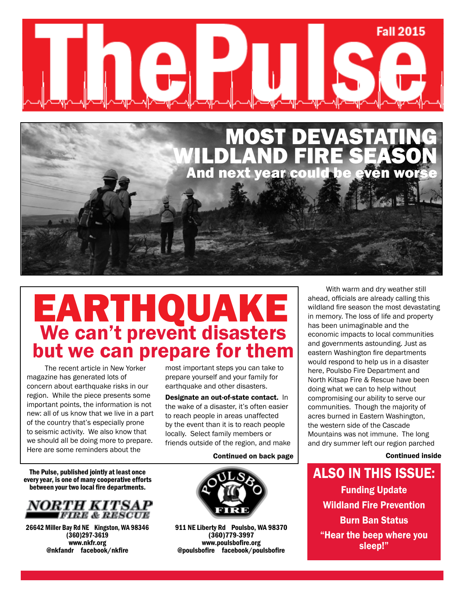



# We can't prevent disasters but we can prepare for them EARTHQUAKE

The recent article in New Yorker magazine has generated lots of concern about earthquake risks in our region. While the piece presents some important points, the information is not new: all of us know that we live in a part of the country that's especially prone to seismic activity. We also know that we should all be doing more to prepare. Here are some reminders about the

most important steps you can take to prepare yourself and your family for earthquake and other disasters.

Designate an out-of-state contact. In the wake of a disaster, it's often easier to reach people in areas unaffected by the event than it is to reach people locally. Select family members or friends outside of the region, and make

#### Continued on back page

The Pulse, published jointly at least once every year, is one of many cooperative efforts between your two local fire departments.



26642 Miller Bay Rd NE Kingston, WA 98346 (360)297-3619 www.nkfr.org @nkfandr facebook/nkfire



911 NE Liberty Rd Poulsbo, WA 98370 (360)779-3997 www.poulsbofire.org @poulsbofire facebook/poulsbofire

With warm and dry weather still ahead, officials are already calling this wildland fire season the most devastating in memory. The loss of life and property has been unimaginable and the economic impacts to local communities and governments astounding. Just as eastern Washington fire departments would respond to help us in a disaster here, Poulsbo Fire Department and North Kitsap Fire & Rescue have been doing what we can to help without compromising our ability to serve our communities. Though the majority of acres burned in Eastern Washington, the western side of the Cascade Mountains was not immune. The long and dry summer left our region parched

Continued inside

Also in this issue: Funding Update Wildland Fire Prevention Burn Ban Status "Hear the beep where you sleep!"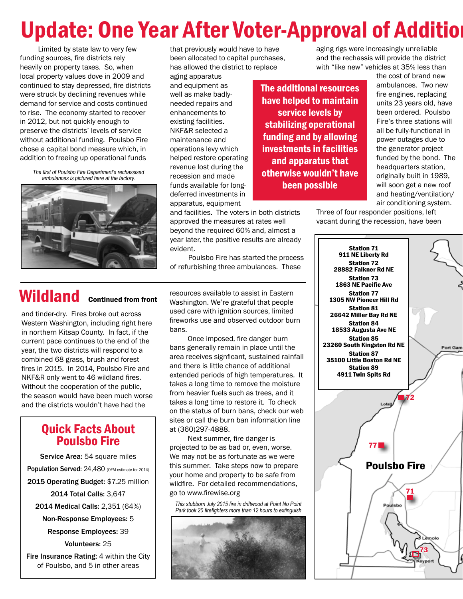# Update: One Year After Voter-Approval of Addition

Limited by state law to very few funding sources, fire districts rely heavily on property taxes. So, when local property values dove in 2009 and continued to stay depressed, fire districts were struck by declining revenues while demand for service and costs continued to rise. The economy started to recover in 2012, but not quickly enough to preserve the districts' levels of service without additional funding. Poulsbo Fire chose a capital bond measure which, in addition to freeing up operational funds

> *The first of Poulsbo Fire Department's rechassised ambulances is pictured here at the factory.*



Wildland Continued from front

and tinder-dry. Fires broke out across Western Washington, including right here in northern Kitsap County. In fact, if the current pace continues to the end of the year, the two districts will respond to a combined 68 grass, brush and forest fires in 2015. In 2014, Poulsbo Fire and NKF&R only went to 46 wildland fires. Without the cooperation of the public, the season would have been much worse and the districts wouldn't have had the

## Quick Facts About Poulsbo Fire

Service Area: 54 square miles Population Served: 24,480 (OFM estimate for 2014) 2015 Operating Budget: \$7.25 million 2014 Total Calls: 3,647 2014 Medical Calls: 2,351 (64%) Non-Response Employees: 5 Response Employees: 39 Volunteers: 25 Fire Insurance Rating: 4 within the City of Poulsbo, and 5 in other areas

that previously would have to have been allocated to capital purchases, has allowed the district to replace

aging apparatus and equipment as well as make badlyneeded repairs and enhancements to existing facilities. NKF&R selected a maintenance and operations levy which helped restore operating revenue lost during the recession and made funds available for longdeferred investments in apparatus, equipment

and facilities. The voters in both districts approved the measures at rates well beyond the required 60% and, almost a year later, the positive results are already evident.

Poulsbo Fire has started the process of refurbishing three ambulances. These

resources available to assist in Eastern Washington. We're grateful that people used care with ignition sources, limited fireworks use and observed outdoor burn bans.

Once imposed, fire danger burn bans generally remain in place until the area receives signficant, sustained rainfall and there is little chance of additional extended periods of high temperatures. It takes a long time to remove the moisture from heavier fuels such as trees, and it takes a long time to restore it. To check on the status of burn bans, check our web sites or call the burn ban information line at (360)297-4888.

Next summer, fire danger is projected to be as bad or, even, worse. We may not be as fortunate as we were this summer. Take steps now to prepare your home and property to be safe from wildfire. For detailed recommendations, go to www.firewise.org

*This stubborn July 2015 fire in driftwood at Point No Point Park took 20 firefighters more than 12 hours to extinguish*



aging rigs were increasingly unreliable and the rechassis will provide the district with "like new" vehicles at 35% less than

The additional resources have helped to maintain service levels by stabilizing operational funding and by allowing investments in facilities and apparatus that otherwise wouldn't have been possible

the cost of brand new ambulances. Two new fire engines, replacing units 23 years old, have been ordered. Poulsbo Fire's three stations will all be fully-functional in power outages due to the generator project funded by the bond. The headquarters station, originally built in 1989, will soon get a new roof and heating/ventilation/ air conditioning system.

Three of four responder positions, left vacant during the recession, have been

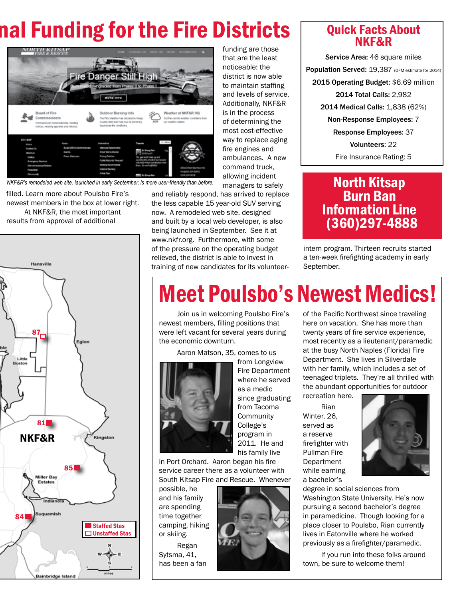# nal Funding for the Fire Districts



*NKF&R's remodeled web site, launched in early September, is more user-friendly than before.*

filled. Learn more about Poulsbo Fire's newest members in the box at lower right. At NKF&R, the most important results from approval of additional



funding are those that are the least noticeable: the district is now able to maintain staffing and levels of service. Additionally, NKF&R is in the process of determining the most cost-effective way to replace aging fire engines and ambulances. A new command truck, allowing incident managers to safely

and reliably respond, has arrived to replace the less capable 15 year-old SUV serving now. A remodeled web site, designed and built by a local web developer, is also being launched in September. See it at www.nkfr.org. Furthermore, with some of the pressure on the operating budget relieved, the district is able to invest in training of new candidates for its volunteer-

## Quick Facts About NKF&R

Service Area: 46 square miles Population Served: 19,387 (OFM estimate for 2014) 2015 Operating Budget: \$6.69 million 2014 Total Calls: 2,982 2014 Medical Calls: 1,838 (62%) Non-Response Employees: 7 Response Employees: 37 Volunteers: 22 Fire Insurance Rating: 5

## North Kitsap Burn Ban Information Line (360)297-4888

intern program. Thirteen recruits started a ten-week firefighting academy in early September.

# Meet Poulsbo's Newest Medics!

Join us in welcoming Poulsbo Fire's newest members, filling positions that were left vacant for several years during the economic downturn.

Aaron Matson, 35, comes to us



from Longview Fire Department where he served as a medic since graduating from Tacoma **Community** College's program in 2011. He and his family live

in Port Orchard. Aaron began his fire service career there as a volunteer with South Kitsap Fire and Rescue. Whenever

possible, he and his family are spending time together camping, hiking or skiing.

Regan Sytsma, 41, has been a fan



of the Pacific Northwest since traveling here on vacation. She has more than twenty years of fire service experience, most recently as a lieutenant/paramedic at the busy North Naples (Florida) Fire Department. She lives in Silverdale with her family, which includes a set of teenaged triplets. They're all thrilled with the abundant opportunities for outdoor recreation here.

Rian Winter, 26, served as a reserve firefighter with Pullman Fire Department while earning a bachelor's



degree in social sciences from Washington State University. He's now pursuing a second bachelor's degree in paramedicine. Though looking for a place closer to Poulsbo, Rian currently lives in Eatonville where he worked previously as a firefighter/paramedic.

If you run into these folks around town, be sure to welcome them!